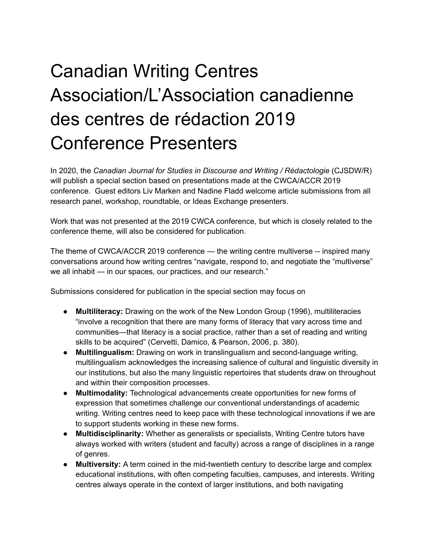## Canadian Writing Centres Association/L'Association canadienne des centres de rédaction 2019 Conference Presenters

In 2020, the *Canadian Journal for Studies in Discourse and Writing / Rédactologie* (CJSDW/R) will publish a special section based on presentations made at the CWCA/ACCR 2019 conference. Guest editors Liv Marken and Nadine Fladd welcome article submissions from all research panel, workshop, roundtable, or Ideas Exchange presenters.

Work that was not presented at the 2019 CWCA conference, but which is closely related to the conference theme, will also be considered for publication.

The theme of CWCA/ACCR 2019 conference — the writing centre multiverse -- inspired many conversations around how writing centres "navigate, respond to, and negotiate the "multiverse" we all inhabit — in our spaces, our practices, and our research."

Submissions considered for publication in the special section may focus on

- **Multiliteracy:** Drawing on the work of the New London Group (1996), multiliteracies "involve a recognition that there are many forms of literacy that vary across time and communities—that literacy is a social practice, rather than a set of reading and writing skills to be acquired" (Cervetti, Damico, & Pearson, 2006, p. 380).
- **Multilingualism:** Drawing on work in translingualism and second-language writing, multilingualism acknowledges the increasing salience of cultural and linguistic diversity in our institutions, but also the many linguistic repertoires that students draw on throughout and within their composition processes.
- **Multimodality:** Technological advancements create opportunities for new forms of expression that sometimes challenge our conventional understandings of academic writing. Writing centres need to keep pace with these technological innovations if we are to support students working in these new forms.
- **Multidisciplinarity:** Whether as generalists or specialists, Writing Centre tutors have always worked with writers (student and faculty) across a range of disciplines in a range of genres.
- **Multiversity:** A term coined in the mid-twentieth century to describe large and complex educational institutions, with often competing faculties, campuses, and interests. Writing centres always operate in the context of larger institutions, and both navigating